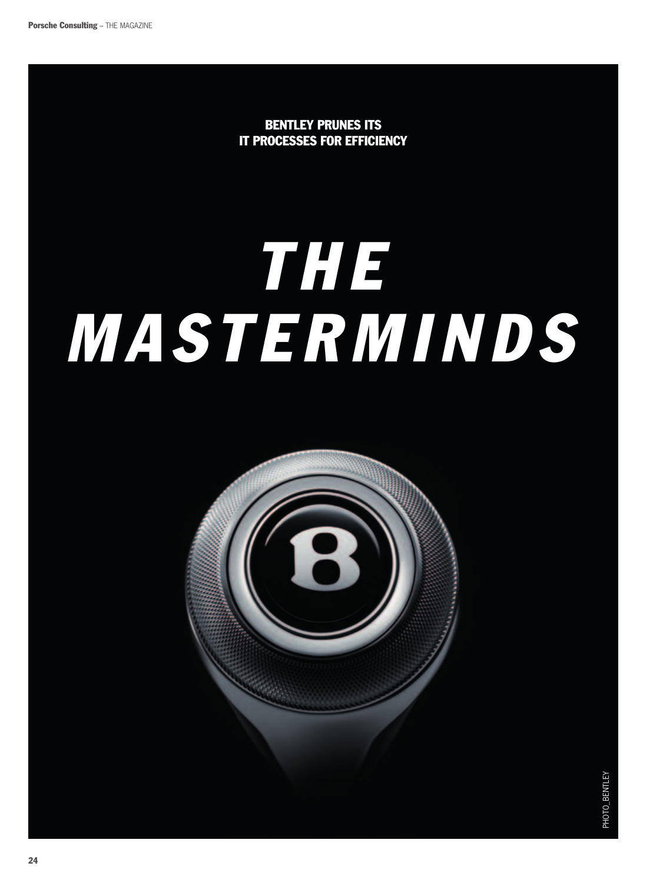Bentley prunes its IT processes for efficiency

# *t h e masterminds*



PHOTO\_BENTLEY photo\_bentley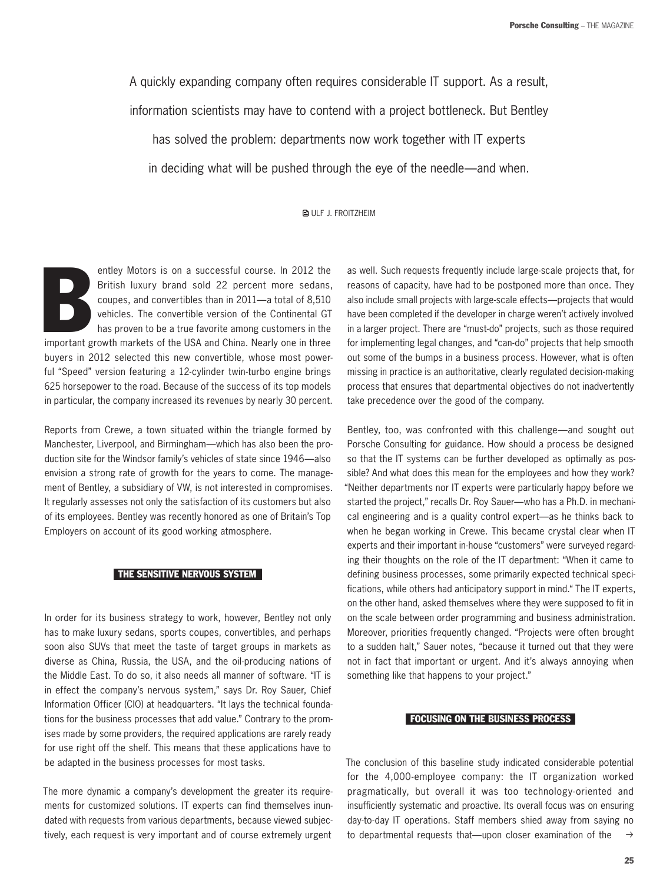A quickly expanding company often requires considerable IT support. As a result,

information scientists may have to contend with a project bottleneck. But Bentley

has solved the problem: departments now work together with IT experts

in deciding what will be pushed through the eye of the needle—and when.

**BULF J. FROITZHEIM** 

entley Motors is on a successful course. In 2012 the British luxury brand sold 22 percent more sedans, coupes, and convertibles than in 2011—a total of 8,510 vehicles. The convertible version of the Continental GT has prov entley Motors is on a successful course. In 2012 the British luxury brand sold 22 percent more sedans, coupes, and convertibles than in 2011—a total of 8,510 vehicles. The convertible version of the Continental GT has proven to be a true favorite among customers in the buyers in 2012 selected this new convertible, whose most powerful "Speed" version featuring a 12-cylinder twin-turbo engine brings 625 horsepower to the road. Because of the success of its top models in particular, the company increased its revenues by nearly 30 percent.

Reports from Crewe, a town situated within the triangle formed by Manchester, Liverpool, and Birmingham—which has also been the production site for the Windsor family's vehicles of state since 1946—also envision a strong rate of growth for the years to come. The management of Bentley, a subsidiary of VW, is not interested in compromises. It regularly assesses not only the satisfaction of its customers but also of its employees. Bentley was recently honored as one of Britain's Top Employers on account of its good working atmosphere.

#### The sensitive nervous system

In order for its business strategy to work, however, Bentley not only has to make luxury sedans, sports coupes, convertibles, and perhaps soon also SUVs that meet the taste of target groups in markets as diverse as China, Russia, the USA, and the oil-producing nations of the Middle East. To do so, it also needs all manner of software. "IT is in effect the company's nervous system," says Dr. Roy Sauer, Chief Information Officer (CIO) at headquarters. "It lays the technical foundations for the business processes that add value." Contrary to the promises made by some providers, the required applications are rarely ready for use right off the shelf. This means that these applications have to be adapted in the business processes for most tasks.

The more dynamic a company's development the greater its requirements for customized solutions. IT experts can find themselves inundated with requests from various departments, because viewed subjectively, each request is very important and of course extremely urgent

as well. Such requests frequently include large-scale projects that, for reasons of capacity, have had to be postponed more than once. They also include small projects with large-scale effects—projects that would have been completed if the developer in charge weren't actively involved in a larger project. There are "must-do" projects, such as those required for implementing legal changes, and "can-do" projects that help smooth out some of the bumps in a business process. However, what is often missing in practice is an authoritative, clearly regulated decision-making process that ensures that departmental objectives do not inadvertently take precedence over the good of the company.

Bentley, too, was confronted with this challenge—and sought out Porsche Consulting for guidance. How should a process be designed so that the IT systems can be further developed as optimally as possible? And what does this mean for the employees and how they work? "Neither departments nor IT experts were particularly happy before we started the project," recalls Dr. Roy Sauer—who has a Ph.D. in mechanical engineering and is a quality control expert—as he thinks back to when he began working in Crewe. This became crystal clear when IT experts and their important in-house "customers" were surveyed regarding their thoughts on the role of the IT department: "When it came to defining business processes, some primarily expected technical specifications, while others had anticipatory support in mind." The IT experts, on the other hand, asked themselves where they were supposed to fit in on the scale between order programming and business administration. Moreover, priorities frequently changed. "Projects were often brought to a sudden halt," Sauer notes, "because it turned out that they were not in fact that important or urgent. And it's always annoying when something like that happens to your project."

### Focusing on the business process

 $\rightarrow$ The conclusion of this baseline study indicated considerable potential for the 4,000-employee company: the IT organization worked pragmatically, but overall it was too technology-oriented and insufficiently systematic and proactive. Its overall focus was on ensuring day-to-day IT operations. Staff members shied away from saying no to departmental requests that—upon closer examination of the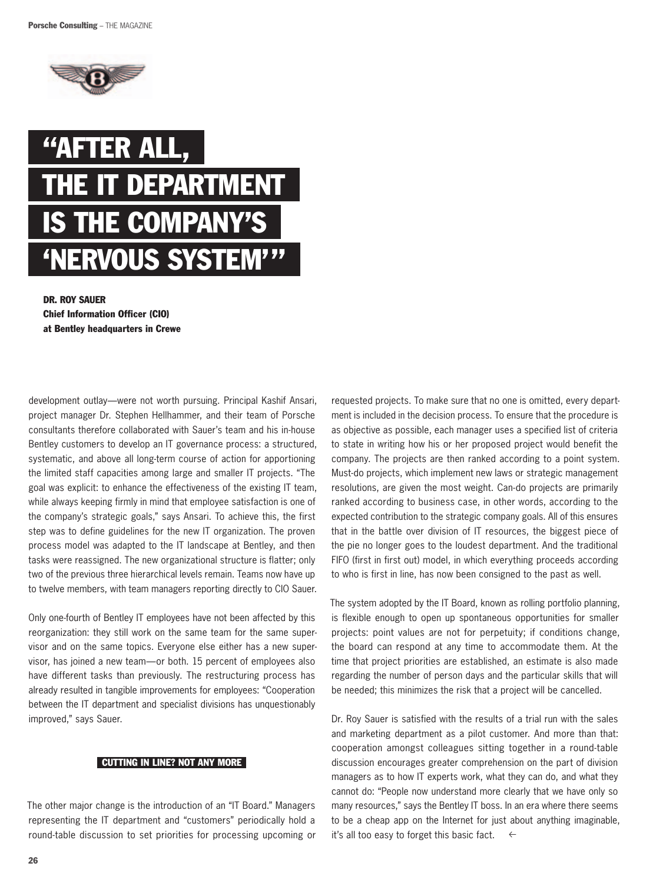



Dr. Roy Sauer Chief Information Officer (CIO) at Bentley headquarters in Crewe

development outlay—were not worth pursuing. Principal Kashif Ansari, project manager Dr. Stephen Hellhammer, and their team of Porsche consultants therefore collaborated with Sauer's team and his in-house Bentley customers to develop an IT governance process: a structured, systematic, and above all long-term course of action for apportioning the limited staff capacities among large and smaller IT projects. "The goal was explicit: to enhance the effectiveness of the existing IT team, while always keeping firmly in mind that employee satisfaction is one of the company's strategic goals," says Ansari. To achieve this, the first step was to define guidelines for the new IT organization. The proven process model was adapted to the IT landscape at Bentley, and then tasks were reassigned. The new organizational structure is flatter; only two of the previous three hierarchical levels remain. Teams now have up to twelve members, with team managers reporting directly to CIO Sauer.

Only one-fourth of Bentley IT employees have not been affected by this reorganization: they still work on the same team for the same supervisor and on the same topics. Everyone else either has a new supervisor, has joined a new team—or both. 15 percent of employees also have different tasks than previously. The restructuring process has already resulted in tangible improvements for employees: "Cooperation between the IT department and specialist divisions has unquestionably improved," says Sauer.

## **CUTTING IN LINE? NOT ANY MORE**

The other major change is the introduction of an "IT Board." Managers representing the IT department and "customers" periodically hold a round-table discussion to set priorities for processing upcoming or requested projects. To make sure that no one is omitted, every department is included in the decision process. To ensure that the procedure is as objective as possible, each manager uses a specified list of criteria to state in writing how his or her proposed project would benefit the company. The projects are then ranked according to a point system. Must-do projects, which implement new laws or strategic management resolutions, are given the most weight. Can-do projects are primarily ranked according to business case, in other words, according to the expected contribution to the strategic company goals. All of this ensures that in the battle over division of IT resources, the biggest piece of the pie no longer goes to the loudest department. And the traditional FIFO (first in first out) model, in which everything proceeds according to who is first in line, has now been consigned to the past as well.

The system adopted by the IT Board, known as rolling portfolio planning, is flexible enough to open up spontaneous opportunities for smaller projects: point values are not for perpetuity; if conditions change, the board can respond at any time to accommodate them. At the time that project priorities are established, an estimate is also made regarding the number of person days and the particular skills that will be needed; this minimizes the risk that a project will be cancelled.

Dr. Roy Sauer is satisfied with the results of a trial run with the sales and marketing department as a pilot customer. And more than that: cooperation amongst colleagues sitting together in a round-table discussion encourages greater comprehension on the part of division managers as to how IT experts work, what they can do, and what they cannot do: "People now understand more clearly that we have only so many resources," says the Bentley IT boss. In an era where there seems to be a cheap app on the Internet for just about anything imaginable, it's all too easy to forget this basic fact.  $\leftarrow$